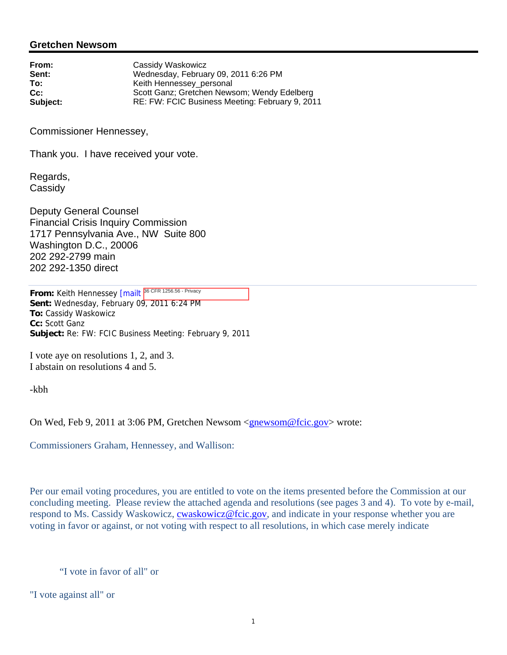## **Gretchen Newsom**

| Cassidy Waskowicz                               |
|-------------------------------------------------|
| Wednesday, February 09, 2011 6:26 PM            |
| Keith Hennessey personal                        |
| Scott Ganz; Gretchen Newsom; Wendy Edelberg     |
| RE: FW: FCIC Business Meeting: February 9, 2011 |
|                                                 |

Commissioner Hennessey,

Thank you. I have received your vote.

Regards, **Cassidy** 

Deputy General Counsel Financial Crisis Inquiry Commission 1717 Pennsylvania Ave., NW Suite 800 Washington D.C., 20006 202 292-2799 main 202 292-1350 direct

**From:** Keith Hennessey [mailt <sup>36 CFR 1256.56 - Privacy **1986**</sup> **Sent:** Wednesday, February 09, 2011 6:24 PM **To:** Cassidy Waskowicz **Cc:** Scott Ganz **Subject:** Re: FW: FCIC Business Meeting: February 9, 2011

I vote aye on resolutions 1, 2, and 3. I abstain on resolutions 4 and 5.

-kbh

On Wed, Feb 9, 2011 at 3:06 PM, Gretchen Newsom <gnewsom@fcic.gov> wrote:

Commissioners Graham, Hennessey, and Wallison:

Per our email voting procedures, you are entitled to vote on the items presented before the Commission at our concluding meeting. Please review the attached agenda and resolutions (see pages 3 and 4). To vote by e-mail, respond to Ms. Cassidy Waskowicz, cwaskowicz@fcic.gov, and indicate in your response whether you are voting in favor or against, or not voting with respect to all resolutions, in which case merely indicate

"I vote in favor of all" or

"I vote against all" or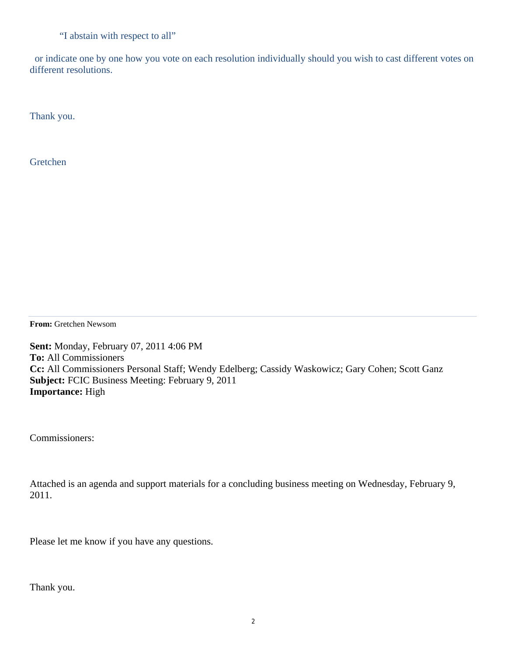"I abstain with respect to all"

 or indicate one by one how you vote on each resolution individually should you wish to cast different votes on different resolutions.

Thank you.

Gretchen

**From:** Gretchen Newsom

**Sent:** Monday, February 07, 2011 4:06 PM **To:** All Commissioners **Cc:** All Commissioners Personal Staff; Wendy Edelberg; Cassidy Waskowicz; Gary Cohen; Scott Ganz **Subject:** FCIC Business Meeting: February 9, 2011 **Importance:** High

Commissioners:

Attached is an agenda and support materials for a concluding business meeting on Wednesday, February 9, 2011.

Please let me know if you have any questions.

Thank you.